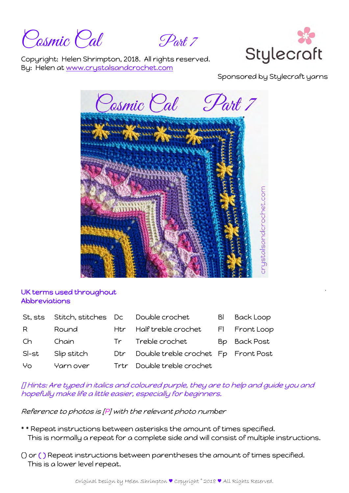Cosmic Cal Part 7



Copyright: Helen Shrimpton, 2018. All rights reserved. By: Helen at www.crystalsandcrochet.com

Sponsored by Stylecraft yarns



## UK terms used throughout Abbreviations

| St, sts |             |                 | Stitch, stitches Dc Double crochet  | <b>Back Loop</b> |
|---------|-------------|-----------------|-------------------------------------|------------------|
| R.      | Round       |                 | Htr Half treble crochet             | FI Front Loop    |
| Ch.     | Chain       | Tr <sub>1</sub> | Treble crochet                      | Bp Back Post     |
| SI-st   | Slip stitch | Dtr             | Double treble crochet Fp Front Post |                  |
| Yo      | Yarn over   | Trtr            | Double treble crochet               |                  |

[] Hints: Are typed in italics and coloured purple, they are to help and guide you and hopefully make life a little easier, especially for beginners.

Reference to photos is [P] with the relevant photo number

- \* \* Repeat instructions between asterisks the amount of times specified. This is normally a repeat for a complete side and will consist of multiple instructions.
- () or ( ) Repeat instructions between parentheses the amount of times specified. This is a lower level repeat.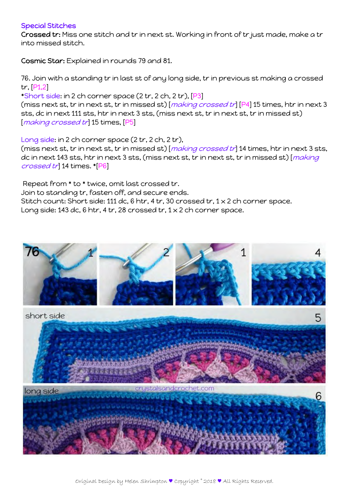## Special Stitches

Crossed tr: Miss one stitch and tr in next st. Working in front of tr just made, make a tr into missed stitch.

Cosmic Star: Explained in rounds 79 and 81.

76. Join with a standing tr in last st of any long side, tr in previous st making a crossed tr, [P1,2]

\*Short side: in 2 ch corner space (2 tr, 2 ch, 2 tr), [P3] (miss next st, tr in next st, tr in missed st) [making crossed tr] [P4] 15 times, htr in next 3 sts, dc in next 111 sts, htr in next 3 sts, (miss next st, tr in next st, tr in missed st) [making crossed tr] 15 times, [P5]

Long side: in 2 ch corner space (2 tr, 2 ch, 2 tr), (miss next st, tr in next st, tr in missed st) [making crossed tr] 14 times, htr in next 3 sts, dc in next 143 sts, htr in next 3 sts, (miss next st, tr in next st, tr in missed st) [making crossed tr] 14 times. \*[P6]

 Repeat from \* to \* twice, omit last crossed tr. Join to standing tr, fasten off, and secure ends. Stitch count: Short side: 111 dc, 6 htr, 4 tr, 30 crossed tr,  $1 \times 2$  ch corner space. Long side: 143 dc, 6 htr, 4 tr, 28 crossed tr,  $1 \times 2$  ch corner space.

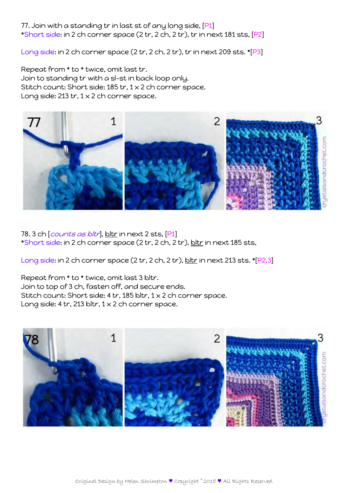## 77. Join with a standing tr in last st of any long side, [P1] \*Short side: in 2 ch corner space (2 tr, 2 ch, 2 tr), tr in next 181 sts, [P2]

Long side: in 2 ch corner space (2 tr, 2 ch, 2 tr), tr in next 209 sts. \*[P3]

Repeat from \* to \* twice, omit last tr. Join to standing tr with a sl-st in back loop only. Stitch count: Short side: 185 tr, 1 x 2 ch corner space. Long side: 213 tr,  $1 \times 2$  ch corner space.



78. 3 ch *counts as bltr*, bltr in next 2 sts, [P1] \*Short side: in 2 ch corner space (2 tr, 2 ch, 2 tr), bltr in next 185 sts,

Long side: in 2 ch corner space (2 tr, 2 ch, 2 tr), bltr in next 213 sts. \*[P2,3]

Repeat from \* to \* twice, omit last 3 bltr. Join to top of 3 ch, fasten off, and secure ends. Stitch count: Short side: 4 tr, 185 bltr, 1 x 2 ch corner space. Long side: 4 tr, 213 bltr,  $1 \times 2$  ch corner space.

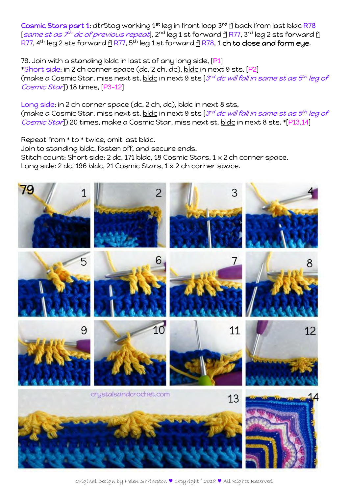Cosmic Stars part 1: dtr5tog working 1<sup>st</sup> leg in front loop 3<sup>rd</sup> fl back from last bldc R78 [same st as  $\bar{z}^h$  dc of previous repeat], 2<sup>nd</sup> leg 1 st forward <u>fl</u> R77, 3<sup>rd</sup> leg 2 sts forward <u>fl</u> R77,  $4^{th}$  leg 2 sts forward <u>fl</u> R77,  $5^{th}$  leg 1 st forward <u>fl</u> R78, 1 ch to close and form eye.

79. Join with a standing bldc in last st of any long side, [P1] \*Short side: in 2 ch corner space (dc, 2 ch, dc), bldc in next 9 sts, [P2] (make a Cosmic Star, miss next st, bldc in next 9 sts  $3^{rd}$  dc will fall in same st as  $5^{th}$  leg of Cosmic Star() 18 times, [P3-12]

Long side: in 2 ch corner space (dc, 2 ch, dc), bldc in next 8 sts, (make a Cosmic Star, miss next st, bldc in next 9 sts [ $3^{rd}$  dc will fall in same st as  $5^{th}$  leg of Cosmic Star]) 20 times, make a Cosmic Star, miss next st, bldc in next 8 sts. \*[P13,14]

Repeat from \* to \* twice, omit last bldc. Join to standing bldc, fasten off, and secure ends. Stitch count: Short side: 2 dc, 171 bldc, 18 Cosmic Stars, 1 x 2 ch corner space. Long side: 2 dc, 196 bldc, 21 Cosmic Stars, 1 x 2 ch corner space.



Original Design by Helen Shrimpton ♥ Copyright © 2018 ♥ All Rights Reserved.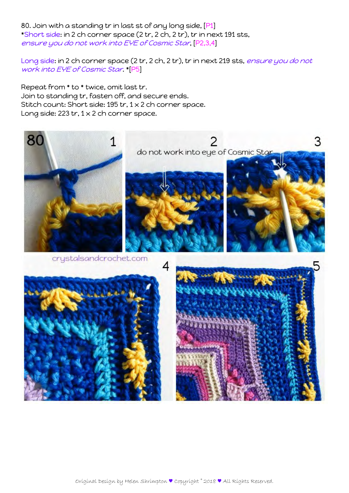80. Join with a standing tr in last st of any long side, [P1] \*Short side: in 2 ch corner space (2 tr, 2 ch, 2 tr), tr in next 191 sts, ensure you do not work into EYE of Cosmic Star, [P2,3,4]

Long side: in 2 ch corner space (2 tr, 2 ch, 2 tr), tr in next 219 sts, ensure you do not work into EYE of Cosmic Star. \*[P5]

Repeat from \* to \* twice, omit last tr. Join to standing tr, fasten off, and secure ends. Stitch count: Short side: 195 tr, 1 x 2 ch corner space. Long side: 223 tr,  $1 \times 2$  ch corner space.

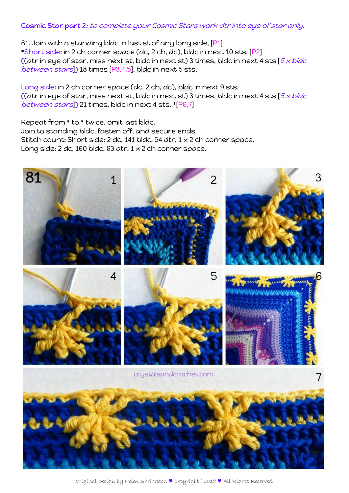## Cosmic Star part 2: to complete your Cosmic Stars work dtr into eye of star only.

81. Join with a standing bldc in last st of any long side, [P1] \*Short side: in 2 ch corner space (dc, 2 ch, dc), bldc in next 10 sts, [P2] ((dtr in eye of star, miss next st, bldc in next st) 3 times, bldc in next 4 sts  $[5 \times b]$ between stars<sup>]</sup>) 18 times [P3,4,5], bldc in next 5 sts,

Long side: in 2 ch corner space (dc, 2 ch, dc), bldc in next 9 sts, ((dtr in eye of star, miss next st, bldc in next st) 3 times, bldc in next 4 sts  $5 \times$  bldc between stars<sup>1</sup>) 21 times, bldc in next 4 sts. \*<sup>[P6,7]</sup>

Repeat from \* to \* twice, omit last bldc. Join to standing bldc, fasten off, and secure ends. Stitch count: Short side: 2 dc, 141 bldc, 54 dtr, 1 x 2 ch corner space. Long side: 2 dc, 160 bldc, 63 dtr,  $1 \times 2$  ch corner space.



Original Design by Helen Shrimpton ♥ Copyright © 2018 ♥ All Rights Reserved.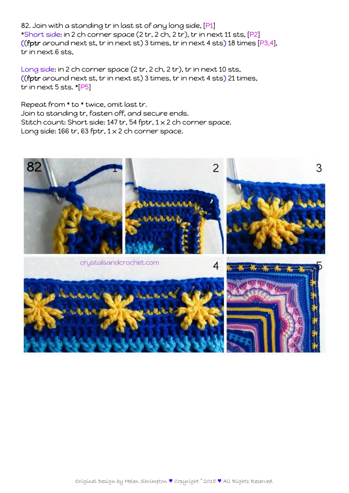82. Join with a standing tr in last st of any long side, [P1] \*Short side: in 2 ch corner space (2 tr, 2 ch, 2 tr), tr in next 11 sts, [P2] ((fptr around next st, tr in next st) 3 times, tr in next 4 sts) 18 times  $[P3,4]$ , tr in next 6 sts,

Long side: in 2 ch corner space (2 tr, 2 ch, 2 tr), tr in next 10 sts, ((fptr around next st, tr in next st) 3 times, tr in next 4 sts) 21 times, tr in next 5 sts. \*[P5]

Repeat from \* to \* twice, omit last tr. Join to standing tr, fasten off, and secure ends. Stitch count: Short side: 147 tr, 54 fptr, 1 x 2 ch corner space. Long side: 166 tr, 63 fptr,  $1 \times 2$  ch corner space.